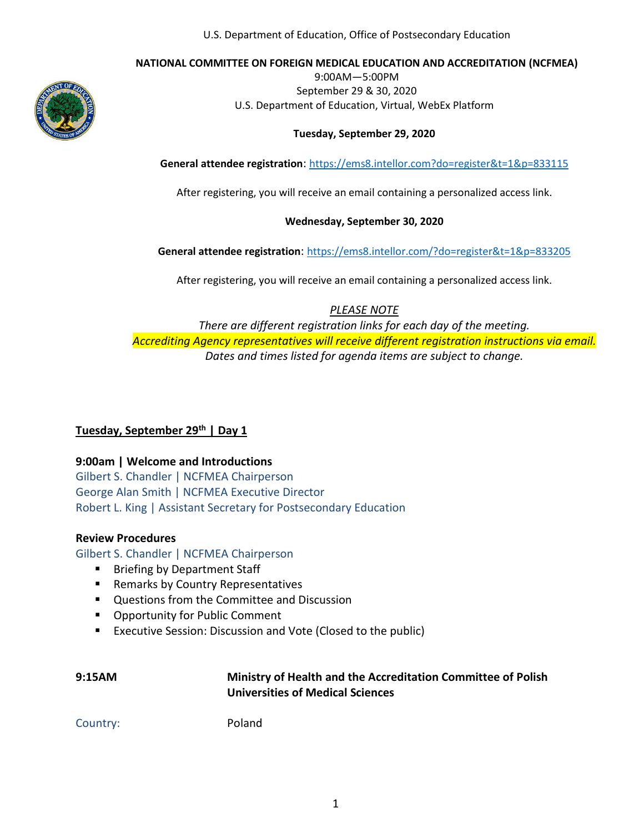#### **NATIONAL COMMITTEE ON FOREIGN MEDICAL EDUCATION AND ACCREDITATION (NCFMEA)**



9:00AM—5:00PM September 29 & 30, 2020 U.S. Department of Education, Virtual, WebEx Platform

#### **Tuesday, September 29, 2020**

**General attendee registration**: [https://ems8.intellor.com?do=register&t=1&p=833115](https://ems8.intellor.com/?do=register&t=1&p=833115)

After registering, you will receive an email containing a personalized access link.

#### **Wednesday, September 30, 2020**

**General attendee registration**: <https://ems8.intellor.com/?do=register&t=1&p=833205>

After registering, you will receive an email containing a personalized access link.

#### *PLEASE NOTE*

*There are different registration links for each day of the meeting. Accrediting Agency representatives will receive different registration instructions via email. Dates and times listed for agenda items are subject to change.*

## **Tuesday, September 29 th | Day 1**

## **9:00am | Welcome and Introductions**

Gilbert S. Chandler | NCFMEA Chairperson George Alan Smith | NCFMEA Executive Director Robert L. King | Assistant Secretary for Postsecondary Education

#### **Review Procedures**

Gilbert S. Chandler | NCFMEA Chairperson

- Briefing by Department Staff
- Remarks by Country Representatives
- Questions from the Committee and Discussion
- Opportunity for Public Comment
- Executive Session: Discussion and Vote (Closed to the public)

| 9:15AM | Ministry of Health and the Accreditation Committee of Polish |
|--------|--------------------------------------------------------------|
|        | <b>Universities of Medical Sciences</b>                      |

Country: Poland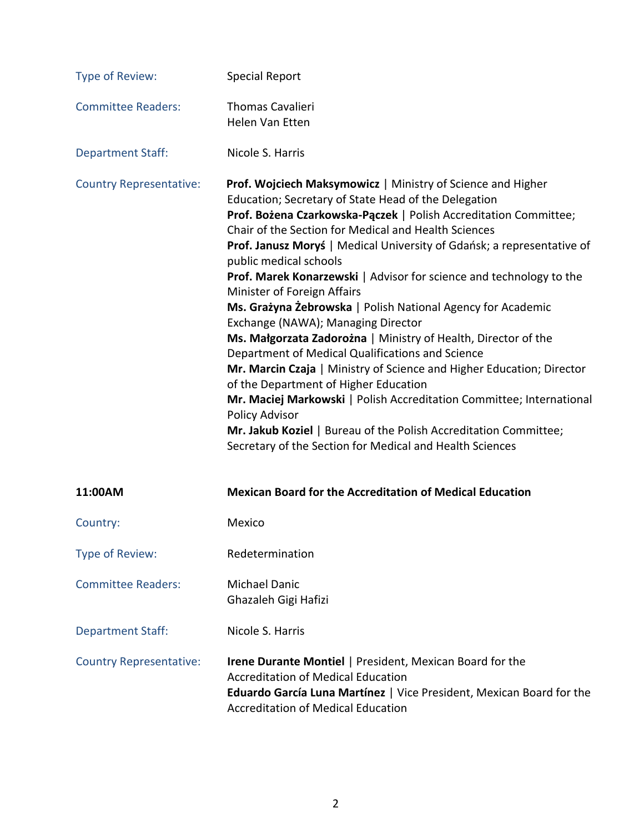| Type of Review:                | <b>Special Report</b>                                                                                                                                                                                                                                                                                                                                                                                                                                                                                                                                                                                                                                                                                                                                                                                                                                                                                                                                                                                                            |
|--------------------------------|----------------------------------------------------------------------------------------------------------------------------------------------------------------------------------------------------------------------------------------------------------------------------------------------------------------------------------------------------------------------------------------------------------------------------------------------------------------------------------------------------------------------------------------------------------------------------------------------------------------------------------------------------------------------------------------------------------------------------------------------------------------------------------------------------------------------------------------------------------------------------------------------------------------------------------------------------------------------------------------------------------------------------------|
| <b>Committee Readers:</b>      | <b>Thomas Cavalieri</b><br>Helen Van Etten                                                                                                                                                                                                                                                                                                                                                                                                                                                                                                                                                                                                                                                                                                                                                                                                                                                                                                                                                                                       |
| <b>Department Staff:</b>       | Nicole S. Harris                                                                                                                                                                                                                                                                                                                                                                                                                                                                                                                                                                                                                                                                                                                                                                                                                                                                                                                                                                                                                 |
| <b>Country Representative:</b> | Prof. Wojciech Maksymowicz   Ministry of Science and Higher<br>Education; Secretary of State Head of the Delegation<br>Prof. Bożena Czarkowska-Pączek   Polish Accreditation Committee;<br>Chair of the Section for Medical and Health Sciences<br>Prof. Janusz Moryś   Medical University of Gdańsk; a representative of<br>public medical schools<br>Prof. Marek Konarzewski   Advisor for science and technology to the<br>Minister of Foreign Affairs<br>Ms. Grażyna Żebrowska   Polish National Agency for Academic<br>Exchange (NAWA); Managing Director<br>Ms. Małgorzata Zadorożna   Ministry of Health, Director of the<br>Department of Medical Qualifications and Science<br>Mr. Marcin Czaja   Ministry of Science and Higher Education; Director<br>of the Department of Higher Education<br>Mr. Maciej Markowski   Polish Accreditation Committee; International<br>Policy Advisor<br>Mr. Jakub Koziel   Bureau of the Polish Accreditation Committee;<br>Secretary of the Section for Medical and Health Sciences |
| 11:00AM                        | <b>Mexican Board for the Accreditation of Medical Education</b>                                                                                                                                                                                                                                                                                                                                                                                                                                                                                                                                                                                                                                                                                                                                                                                                                                                                                                                                                                  |
| Country:                       | Mexico                                                                                                                                                                                                                                                                                                                                                                                                                                                                                                                                                                                                                                                                                                                                                                                                                                                                                                                                                                                                                           |
| Type of Review:                | Redetermination                                                                                                                                                                                                                                                                                                                                                                                                                                                                                                                                                                                                                                                                                                                                                                                                                                                                                                                                                                                                                  |
| <b>Committee Readers:</b>      | <b>Michael Danic</b><br>Ghazaleh Gigi Hafizi                                                                                                                                                                                                                                                                                                                                                                                                                                                                                                                                                                                                                                                                                                                                                                                                                                                                                                                                                                                     |
| <b>Department Staff:</b>       | Nicole S. Harris                                                                                                                                                                                                                                                                                                                                                                                                                                                                                                                                                                                                                                                                                                                                                                                                                                                                                                                                                                                                                 |
| <b>Country Representative:</b> | <b>Irene Durante Montiel   President, Mexican Board for the</b><br><b>Accreditation of Medical Education</b><br>Eduardo García Luna Martínez   Vice President, Mexican Board for the<br><b>Accreditation of Medical Education</b>                                                                                                                                                                                                                                                                                                                                                                                                                                                                                                                                                                                                                                                                                                                                                                                                |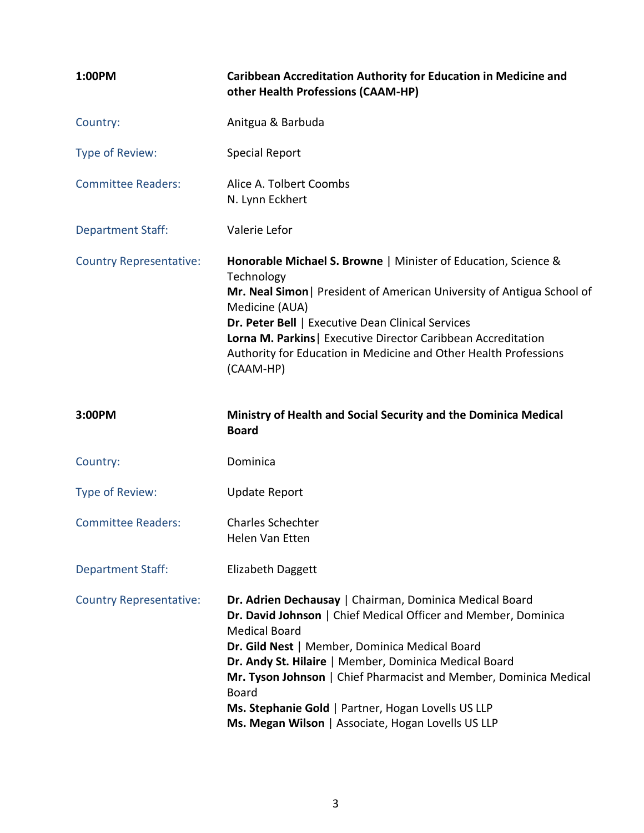| 1:00PM                         | <b>Caribbean Accreditation Authority for Education in Medicine and</b><br>other Health Professions (CAAM-HP)                                                                                                                                                                                                                                                                                                                                                  |
|--------------------------------|---------------------------------------------------------------------------------------------------------------------------------------------------------------------------------------------------------------------------------------------------------------------------------------------------------------------------------------------------------------------------------------------------------------------------------------------------------------|
| Country:                       | Anitgua & Barbuda                                                                                                                                                                                                                                                                                                                                                                                                                                             |
| Type of Review:                | <b>Special Report</b>                                                                                                                                                                                                                                                                                                                                                                                                                                         |
| <b>Committee Readers:</b>      | Alice A. Tolbert Coombs<br>N. Lynn Eckhert                                                                                                                                                                                                                                                                                                                                                                                                                    |
| <b>Department Staff:</b>       | Valerie Lefor                                                                                                                                                                                                                                                                                                                                                                                                                                                 |
| <b>Country Representative:</b> | Honorable Michael S. Browne   Minister of Education, Science &<br>Technology<br>Mr. Neal Simon   President of American University of Antigua School of<br>Medicine (AUA)<br>Dr. Peter Bell   Executive Dean Clinical Services<br>Lorna M. Parkins   Executive Director Caribbean Accreditation<br>Authority for Education in Medicine and Other Health Professions<br>(CAAM-HP)                                                                               |
| 3:00PM                         | Ministry of Health and Social Security and the Dominica Medical<br><b>Board</b>                                                                                                                                                                                                                                                                                                                                                                               |
| Country:                       | Dominica                                                                                                                                                                                                                                                                                                                                                                                                                                                      |
| Type of Review:                | <b>Update Report</b>                                                                                                                                                                                                                                                                                                                                                                                                                                          |
| <b>Committee Readers:</b>      | <b>Charles Schechter</b><br>Helen Van Etten                                                                                                                                                                                                                                                                                                                                                                                                                   |
| <b>Department Staff:</b>       | Elizabeth Daggett                                                                                                                                                                                                                                                                                                                                                                                                                                             |
| <b>Country Representative:</b> | Dr. Adrien Dechausay   Chairman, Dominica Medical Board<br>Dr. David Johnson   Chief Medical Officer and Member, Dominica<br><b>Medical Board</b><br>Dr. Gild Nest   Member, Dominica Medical Board<br>Dr. Andy St. Hilaire   Member, Dominica Medical Board<br>Mr. Tyson Johnson   Chief Pharmacist and Member, Dominica Medical<br><b>Board</b><br>Ms. Stephanie Gold   Partner, Hogan Lovells US LLP<br>Ms. Megan Wilson   Associate, Hogan Lovells US LLP |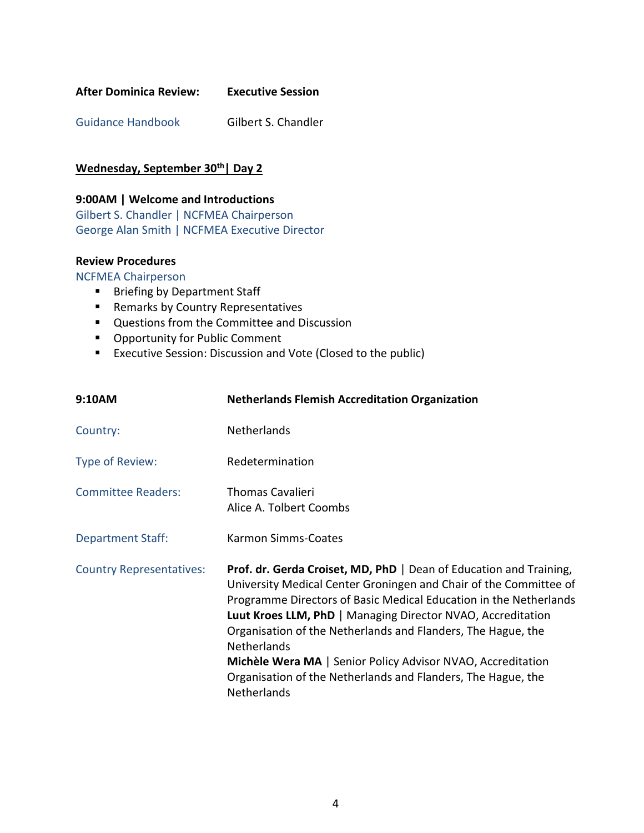| <b>After Dominica Review:</b> | <b>Executive Session</b> |
|-------------------------------|--------------------------|
|                               |                          |

Guidance Handbook Gilbert S. Chandler

## **Wednesday, September 30th| Day 2**

## **9:00AM | Welcome and Introductions**

Gilbert S. Chandler | NCFMEA Chairperson George Alan Smith | NCFMEA Executive Director

## **Review Procedures**

NCFMEA Chairperson

- Briefing by Department Staff
- Remarks by Country Representatives
- Questions from the Committee and Discussion
- Opportunity for Public Comment
- Executive Session: Discussion and Vote (Closed to the public)

| 9:10AM                          | <b>Netherlands Flemish Accreditation Organization</b>                                                                                                                                                                                                                                                                                                                                                                                                                                                           |
|---------------------------------|-----------------------------------------------------------------------------------------------------------------------------------------------------------------------------------------------------------------------------------------------------------------------------------------------------------------------------------------------------------------------------------------------------------------------------------------------------------------------------------------------------------------|
| Country:                        | Netherlands                                                                                                                                                                                                                                                                                                                                                                                                                                                                                                     |
| Type of Review:                 | Redetermination                                                                                                                                                                                                                                                                                                                                                                                                                                                                                                 |
| <b>Committee Readers:</b>       | <b>Thomas Cavalieri</b><br>Alice A. Tolbert Coombs                                                                                                                                                                                                                                                                                                                                                                                                                                                              |
| <b>Department Staff:</b>        | Karmon Simms-Coates                                                                                                                                                                                                                                                                                                                                                                                                                                                                                             |
| <b>Country Representatives:</b> | Prof. dr. Gerda Croiset, MD, PhD   Dean of Education and Training,<br>University Medical Center Groningen and Chair of the Committee of<br>Programme Directors of Basic Medical Education in the Netherlands<br>Luut Kroes LLM, PhD   Managing Director NVAO, Accreditation<br>Organisation of the Netherlands and Flanders, The Hague, the<br><b>Netherlands</b><br>Michèle Wera MA   Senior Policy Advisor NVAO, Accreditation<br>Organisation of the Netherlands and Flanders, The Hague, the<br>Netherlands |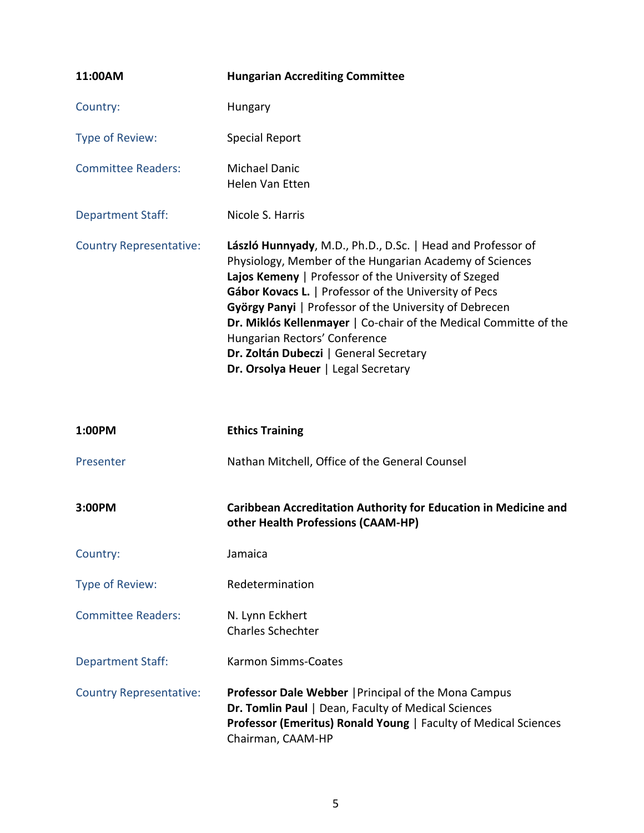| 11:00AM                        | <b>Hungarian Accrediting Committee</b>                                                                                                                                                                                                                                                                                                                                                                                                                                                  |
|--------------------------------|-----------------------------------------------------------------------------------------------------------------------------------------------------------------------------------------------------------------------------------------------------------------------------------------------------------------------------------------------------------------------------------------------------------------------------------------------------------------------------------------|
| Country:                       | Hungary                                                                                                                                                                                                                                                                                                                                                                                                                                                                                 |
| Type of Review:                | <b>Special Report</b>                                                                                                                                                                                                                                                                                                                                                                                                                                                                   |
| <b>Committee Readers:</b>      | <b>Michael Danic</b><br>Helen Van Etten                                                                                                                                                                                                                                                                                                                                                                                                                                                 |
| <b>Department Staff:</b>       | Nicole S. Harris                                                                                                                                                                                                                                                                                                                                                                                                                                                                        |
| <b>Country Representative:</b> | László Hunnyady, M.D., Ph.D., D.Sc.   Head and Professor of<br>Physiology, Member of the Hungarian Academy of Sciences<br>Lajos Kemeny   Professor of the University of Szeged<br>Gábor Kovacs L.   Professor of the University of Pecs<br>György Panyi   Professor of the University of Debrecen<br>Dr. Miklós Kellenmayer   Co-chair of the Medical Committe of the<br>Hungarian Rectors' Conference<br>Dr. Zoltán Dubeczi   General Secretary<br>Dr. Orsolya Heuer   Legal Secretary |
| 1:00PM                         | <b>Ethics Training</b>                                                                                                                                                                                                                                                                                                                                                                                                                                                                  |
| Presenter                      | Nathan Mitchell, Office of the General Counsel                                                                                                                                                                                                                                                                                                                                                                                                                                          |
| 3:00PM                         | <b>Caribbean Accreditation Authority for Education in Medicine and</b><br>other Health Professions (CAAM-HP)                                                                                                                                                                                                                                                                                                                                                                            |
| Country:                       | Jamaica                                                                                                                                                                                                                                                                                                                                                                                                                                                                                 |
| Type of Review:                | Redetermination                                                                                                                                                                                                                                                                                                                                                                                                                                                                         |
| <b>Committee Readers:</b>      | N. Lynn Eckhert<br><b>Charles Schechter</b>                                                                                                                                                                                                                                                                                                                                                                                                                                             |
| <b>Department Staff:</b>       | Karmon Simms-Coates                                                                                                                                                                                                                                                                                                                                                                                                                                                                     |
| <b>Country Representative:</b> | <b>Professor Dale Webber   Principal of the Mona Campus</b><br>Dr. Tomlin Paul   Dean, Faculty of Medical Sciences<br>Professor (Emeritus) Ronald Young   Faculty of Medical Sciences<br>Chairman, CAAM-HP                                                                                                                                                                                                                                                                              |